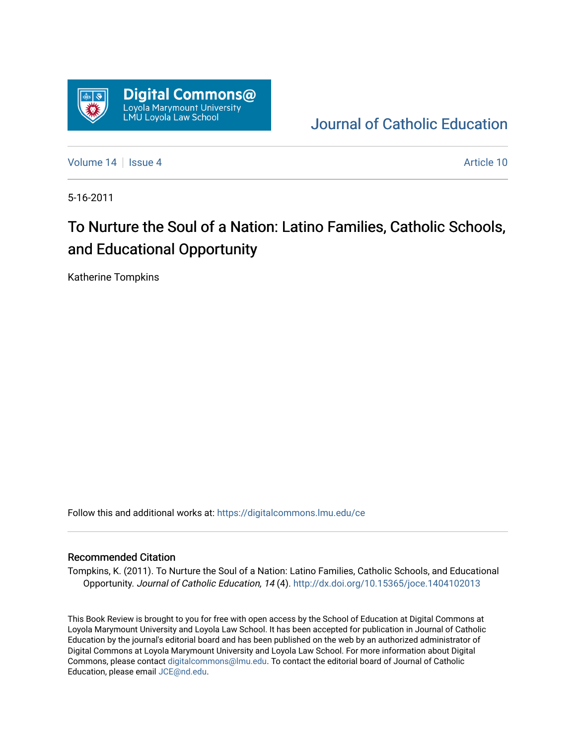

[Journal of Catholic Education](https://digitalcommons.lmu.edu/ce) 

[Volume 14](https://digitalcommons.lmu.edu/ce/vol14) Suite 4 Article 10

5-16-2011

## To Nurture the Soul of a Nation: Latino Families, Catholic Schools, and Educational Opportunity

Katherine Tompkins

Follow this and additional works at: [https://digitalcommons.lmu.edu/ce](https://digitalcommons.lmu.edu/ce?utm_source=digitalcommons.lmu.edu%2Fce%2Fvol14%2Fiss4%2F10&utm_medium=PDF&utm_campaign=PDFCoverPages)

## Recommended Citation

Tompkins, K. (2011). To Nurture the Soul of a Nation: Latino Families, Catholic Schools, and Educational Opportunity. Journal of Catholic Education, 14 (4). <http://dx.doi.org/10.15365/joce.1404102013>

This Book Review is brought to you for free with open access by the School of Education at Digital Commons at Loyola Marymount University and Loyola Law School. It has been accepted for publication in Journal of Catholic Education by the journal's editorial board and has been published on the web by an authorized administrator of Digital Commons at Loyola Marymount University and Loyola Law School. For more information about Digital Commons, please contact [digitalcommons@lmu.edu.](mailto:digitalcommons@lmu.edu) To contact the editorial board of Journal of Catholic Education, please email [JCE@nd.edu.](mailto:JCE@nd.edu)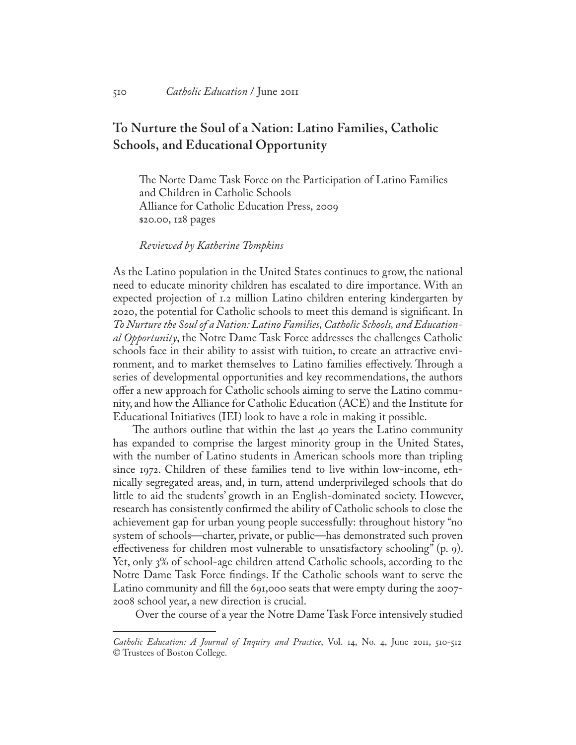## **To Nurture the Soul of a Nation: Latino Families, Catholic Schools, and Educational Opportunity**

The Norte Dame Task Force on the Participation of Latino Families and Children in Catholic Schools Alliance for Catholic Education Press, 2009 \$20.00, 128 pages

*Reviewed by Katherine Tompkins*

As the Latino population in the United States continues to grow, the national need to educate minority children has escalated to dire importance. With an expected projection of 1.2 million Latino children entering kindergarten by 2020, the potential for Catholic schools to meet this demand is significant. In *To Nurture the Soul of a Nation: Latino Families, Catholic Schools, and Educational Opportunity*, the Notre Dame Task Force addresses the challenges Catholic schools face in their ability to assist with tuition, to create an attractive environment, and to market themselves to Latino families effectively. Through a series of developmental opportunities and key recommendations, the authors offer a new approach for Catholic schools aiming to serve the Latino community, and how the Alliance for Catholic Education (ACE) and the Institute for Educational Initiatives (IEI) look to have a role in making it possible.

The authors outline that within the last 40 years the Latino community has expanded to comprise the largest minority group in the United States, with the number of Latino students in American schools more than tripling since 1972. Children of these families tend to live within low-income, ethnically segregated areas, and, in turn, attend underprivileged schools that do little to aid the students' growth in an English-dominated society. However, research has consistently confirmed the ability of Catholic schools to close the achievement gap for urban young people successfully: throughout history "no system of schools—charter, private, or public—has demonstrated such proven effectiveness for children most vulnerable to unsatisfactory schooling" (p. 9). Yet, only 3% of school-age children attend Catholic schools, according to the Notre Dame Task Force findings. If the Catholic schools want to serve the Latino community and fill the 691,000 seats that were empty during the 2007- 2008 school year, a new direction is crucial.

Over the course of a year the Notre Dame Task Force intensively studied

*Catholic Education: A Journal of Inquiry and Practice*, Vol. 14, No. 4, June 2011, 510-512 © Trustees of Boston College.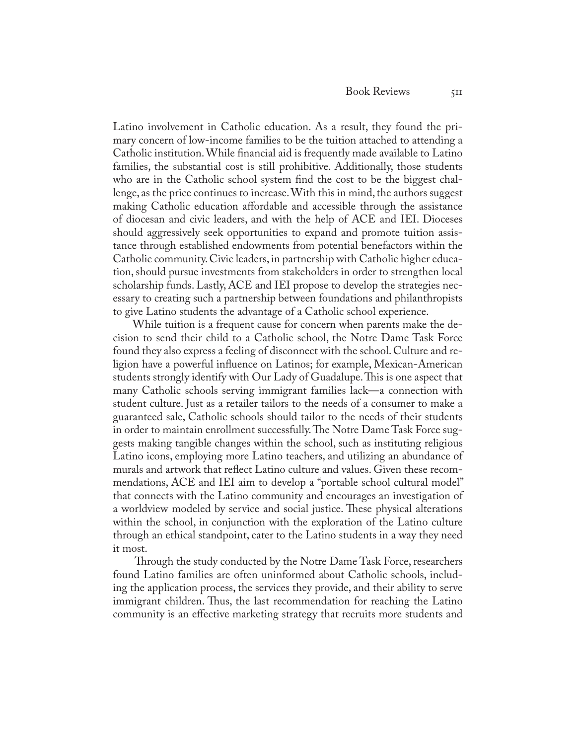Latino involvement in Catholic education. As a result, they found the primary concern of low-income families to be the tuition attached to attending a Catholic institution. While financial aid is frequently made available to Latino families, the substantial cost is still prohibitive. Additionally, those students who are in the Catholic school system find the cost to be the biggest challenge, as the price continues to increase. With this in mind, the authors suggest making Catholic education affordable and accessible through the assistance of diocesan and civic leaders, and with the help of ACE and IEI. Dioceses should aggressively seek opportunities to expand and promote tuition assistance through established endowments from potential benefactors within the Catholic community. Civic leaders, in partnership with Catholic higher education, should pursue investments from stakeholders in order to strengthen local scholarship funds. Lastly, ACE and IEI propose to develop the strategies necessary to creating such a partnership between foundations and philanthropists to give Latino students the advantage of a Catholic school experience.

While tuition is a frequent cause for concern when parents make the decision to send their child to a Catholic school, the Notre Dame Task Force found they also express a feeling of disconnect with the school. Culture and religion have a powerful influence on Latinos; for example, Mexican-American students strongly identify with Our Lady of Guadalupe. This is one aspect that many Catholic schools serving immigrant families lack—a connection with student culture. Just as a retailer tailors to the needs of a consumer to make a guaranteed sale, Catholic schools should tailor to the needs of their students in order to maintain enrollment successfully. The Notre Dame Task Force suggests making tangible changes within the school, such as instituting religious Latino icons, employing more Latino teachers, and utilizing an abundance of murals and artwork that reflect Latino culture and values. Given these recommendations, ACE and IEI aim to develop a "portable school cultural model" that connects with the Latino community and encourages an investigation of a worldview modeled by service and social justice. These physical alterations within the school, in conjunction with the exploration of the Latino culture through an ethical standpoint, cater to the Latino students in a way they need it most.

 Through the study conducted by the Notre Dame Task Force, researchers found Latino families are often uninformed about Catholic schools, including the application process, the services they provide, and their ability to serve immigrant children. Thus, the last recommendation for reaching the Latino community is an effective marketing strategy that recruits more students and